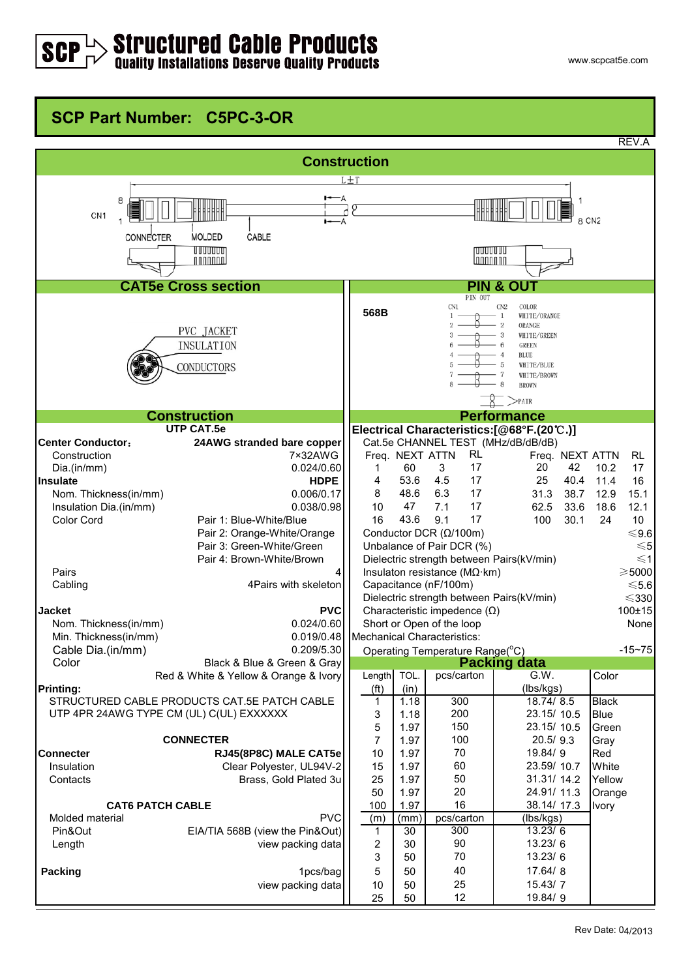## $>$  Structured Cable Products<br>Quality Installations Deserve Quality Products

## **SCP Part Number: C5PC-3-OR**